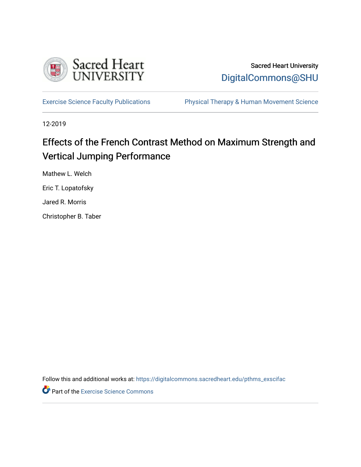

## Sacred Heart University [DigitalCommons@SHU](https://digitalcommons.sacredheart.edu/)

[Exercise Science Faculty Publications](https://digitalcommons.sacredheart.edu/pthms_exscifac) [Physical Therapy & Human Movement Science](https://digitalcommons.sacredheart.edu/pthms) 

12-2019

## Effects of the French Contrast Method on Maximum Strength and Vertical Jumping Performance

Mathew L. Welch

Eric T. Lopatofsky

Jared R. Morris

Christopher B. Taber

Follow this and additional works at: [https://digitalcommons.sacredheart.edu/pthms\\_exscifac](https://digitalcommons.sacredheart.edu/pthms_exscifac?utm_source=digitalcommons.sacredheart.edu%2Fpthms_exscifac%2F42&utm_medium=PDF&utm_campaign=PDFCoverPages)

**Part of the [Exercise Science Commons](http://network.bepress.com/hgg/discipline/1091?utm_source=digitalcommons.sacredheart.edu%2Fpthms_exscifac%2F42&utm_medium=PDF&utm_campaign=PDFCoverPages)**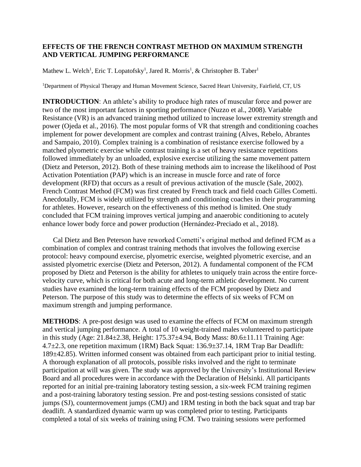## **EFFECTS OF THE FRENCH CONTRAST METHOD ON MAXIMUM STRENGTH AND VERTICAL JUMPING PERFORMANCE**

Mathew L. Welch<sup>1</sup>, Eric T. Lopatofsky<sup>1</sup>, Jared R. Morris<sup>1</sup>, & Christopher B. Taber<sup>1</sup>

<sup>1</sup>Department of Physical Therapy and Human Movement Science, Sacred Heart University, Fairfield, CT, US

**INTRODUCTION:** An athlete's ability to produce high rates of muscular force and power are two of the most important factors in sporting performance (Nuzzo et al., 2008). Variable Resistance (VR) is an advanced training method utilized to increase lower extremity strength and power (Ojeda et al., 2016). The most popular forms of VR that strength and conditioning coaches implement for power development are complex and contrast training (Alves, Rebelo, Abrantes and Sampaio, 2010). Complex training is a combination of resistance exercise followed by a matched plyometric exercise while contrast training is a set of heavy resistance repetitions followed immediately by an unloaded, explosive exercise utilizing the same movement pattern (Dietz and Peterson, 2012). Both of these training methods aim to increase the likelihood of Post Activation Potentiation (PAP) which is an increase in muscle force and rate of force development (RFD) that occurs as a result of previous activation of the muscle (Sale, 2002). French Contrast Method (FCM) was first created by French track and field coach Gilles Cometti. Anecdotally, FCM is widely utilized by strength and conditioning coaches in their programming for athletes. However, research on the effectiveness of this method is limited. One study concluded that FCM training improves vertical jumping and anaerobic conditioning to acutely enhance lower body force and power production (Hernández-Preciado et al., 2018).

Cal Dietz and Ben Peterson have reworked Cometti's original method and defined FCM as a combination of complex and contrast training methods that involves the following exercise protocol: heavy compound exercise, plyometric exercise, weighted plyometric exercise, and an assisted plyometric exercise (Dietz and Peterson, 2012). A fundamental component of the FCM proposed by Dietz and Peterson is the ability for athletes to uniquely train across the entire forcevelocity curve, which is critical for both acute and long-term athletic development. No current studies have examined the long-term training effects of the FCM proposed by Dietz and Peterson. The purpose of this study was to determine the effects of six weeks of FCM on maximum strength and jumping performance.

**METHODS**: A pre-post design was used to examine the effects of FCM on maximum strength and vertical jumping performance. A total of 10 weight-trained males volunteered to participate in this study (Age: 21.84±2.38, Height: 175.37±4.94, Body Mass: 80.6±11.11 Training Age: 4.7±2.3, one repetition maximum (1RM) Back Squat: 136.9±37.14, 1RM Trap Bar Deadlift: 189±42.85). Written informed consent was obtained from each participant prior to initial testing. A thorough explanation of all protocols, possible risks involved and the right to terminate participation at will was given. The study was approved by the University's Institutional Review Board and all procedures were in accordance with the Declaration of Helsinki. All participants reported for an initial pre-training laboratory testing session, a six-week FCM training regimen and a post-training laboratory testing session. Pre and post-testing sessions consisted of static jumps (SJ), countermovement jumps (CMJ) and 1RM testing in both the back squat and trap bar deadlift. A standardized dynamic warm up was completed prior to testing. Participants completed a total of six weeks of training using FCM. Two training sessions were performed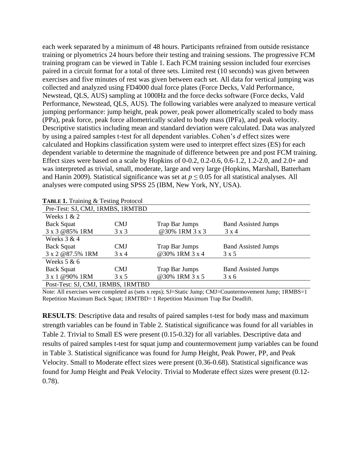each week separated by a minimum of 48 hours. Participants refrained from outside resistance training or plyometrics 24 hours before their testing and training sessions. The progressive FCM training program can be viewed in Table 1. Each FCM training session included four exercises paired in a circuit format for a total of three sets. Limited rest (10 seconds) was given between exercises and five minutes of rest was given between each set. All data for vertical jumping was collected and analyzed using FD4000 dual force plates (Force Decks, Vald Performance, Newstead, QLS, AUS) sampling at 1000Hz and the force decks software (Force decks, Vald Performance, Newstead, QLS, AUS). The following variables were analyzed to measure vertical jumping performance: jump height, peak power, peak power allometrically scaled to body mass (PPa), peak force, peak force allometrically scaled to body mass (IPFa), and peak velocity. Descriptive statistics including mean and standard deviation were calculated. Data was analyzed by using a paired samples t-test for all dependent variables. Cohen's *d* effect sizes were calculated and Hopkins classification system were used to interpret effect sizes (ES) for each dependent variable to determine the magnitude of difference between pre and post FCM training. Effect sizes were based on a scale by Hopkins of 0-0.2, 0.2-0.6, 0.6-1.2, 1.2-2.0, and 2.0+ and was interpreted as trivial, small, moderate, large and very large (Hopkins, Marshall, Batterham and Hanin 2009). Statistical significance was set at  $p \le 0.05$  for all statistical analyses. All analyses were computed using SPSS 25 (IBM, New York, NY, USA).

| <b>TABLE 1.</b> ITAILING $\alpha$ results FLOROCOL |              |                |                            |  |  |  |  |
|----------------------------------------------------|--------------|----------------|----------------------------|--|--|--|--|
| Pre-Test: SJ, CMJ, 1RMBS, 1RMTBD                   |              |                |                            |  |  |  |  |
| Weeks $1 & 2$                                      |              |                |                            |  |  |  |  |
| <b>Back Squat</b>                                  | CMJ          | Trap Bar Jumps | <b>Band Assisted Jumps</b> |  |  |  |  |
| 3 x 3 @85% 1RM                                     | 3 x 3        | @30% 1RM 3 x 3 | $3 \times 4$               |  |  |  |  |
| Weeks $3 & 4$                                      |              |                |                            |  |  |  |  |
| <b>Back Squat</b>                                  | <b>CMJ</b>   | Trap Bar Jumps | <b>Band Assisted Jumps</b> |  |  |  |  |
| 3 x 2 @87.5% 1RM                                   | $3 \times 4$ | @30% 1RM 3 x 4 | 3 x 5                      |  |  |  |  |
| Weeks $5 & 6$                                      |              |                |                            |  |  |  |  |
| <b>Back Squat</b>                                  | <b>CMJ</b>   | Trap Bar Jumps | <b>Band Assisted Jumps</b> |  |  |  |  |
| 3 x 1 @90% 1RM                                     | $3 \times 5$ | @30% 1RM 3 x 5 | 3x6                        |  |  |  |  |
| Post-Test: SJ, CMJ, 1RMBS, 1RMTBD                  |              |                |                            |  |  |  |  |

Note: All exercises were completed as (sets x reps); SJ=Static Jump; CMJ=Countermovement Jump; 1RMBS=1 Repetition Maximum Back Squat; 1RMTBD= 1 Repetition Maximum Trap Bar Deadlift.

**RESULTS**: Descriptive data and results of paired samples t-test for body mass and maximum strength variables can be found in Table 2. Statistical significance was found for all variables in Table 2. Trivial to Small ES were present (0.15-0.32) for all variables. Descriptive data and results of paired samples t-test for squat jump and countermovement jump variables can be found in Table 3. Statistical significance was found for Jump Height, Peak Power, PP, and Peak Velocity. Small to Moderate effect sizes were present (0.36-0.68). Statistical significance was found for Jump Height and Peak Velocity. Trivial to Moderate effect sizes were present (0.12- 0.78).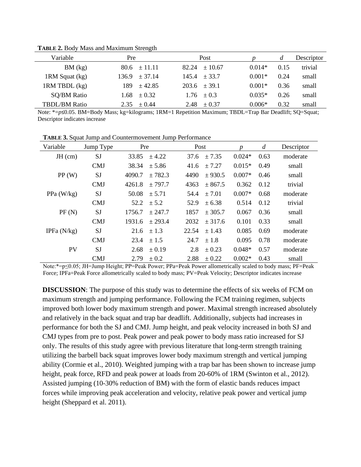| Variable             | Pre              | Post              |          | d    | Descriptor |
|----------------------|------------------|-------------------|----------|------|------------|
| BM (kg)              | $80.6 \pm 11.11$ | $+10.67$<br>82.24 | $0.014*$ | 0.15 | trivial    |
| 1RM Squat (kg)       | $136.9 + 37.14$  | 145.4<br>$+337$   | $0.001*$ | 0.24 | small      |
| 1RM TBDL (kg)        | $+42.85$<br>189. | $203.6 + 39.1$    | $0.001*$ | 0.36 | small      |
| <b>SQ/BM Ratio</b>   | $1.68 \pm 0.32$  | $1.76 + 0.3$      | $0.035*$ | 0.26 | small      |
| <b>TBDL/BM Ratio</b> | $+0.44$<br>2.35  | $+0.37$<br>2.48   | $0.006*$ | 0.32 | small      |

**TABLE 2.** Body Mass and Maximum Strength

Note: \*=*p*≤0.05. BM=Body Mass; kg=kilograms; 1RM=1 Repetition Maximum; TBDL=Trap Bar Deadlift; SQ=Squat; Descriptor indicates increase

| Variable      | Jump Type  | Pre    |            |       | Post       |          | $\boldsymbol{d}$ | Descriptor |
|---------------|------------|--------|------------|-------|------------|----------|------------------|------------|
| $JH$ (cm)     | SJ         | 33.85  | ± 4.22     | 37.6  | ± 7.35     | $0.024*$ | 0.63             | moderate   |
|               | <b>CMJ</b> | 38.34  | ± 5.86     | 41.6  | ± 7.27     | $0.015*$ | 0.49             | small      |
| PP(W)         | SJ         | 4090.7 | ± 782.3    | 4490  | ± 930.5    | $0.007*$ | 0.46             | small      |
|               | <b>CMJ</b> | 4261.8 | ± 797.7    | 4363  | ± 867.5    | 0.362    | 0.12             | trivial    |
| PPa $(W/kg)$  | SJ         | 50.08  | ± 5.71     | 54.4  | ± 7.01     | $0.007*$ | 0.68             | moderate   |
|               | <b>CMJ</b> | 52.2   | ± 5.2      | 52.9  | ± 6.38     | 0.514    | 0.12             | trivial    |
| PF(N)         | SJ         | 1756.7 | ± 247.7    | 1857  | ± 305.7    | 0.067    | 0.36             | small      |
|               | <b>CMJ</b> | 1931.6 | ± 293.4    | 2032  | ± 317.6    | 0.101    | 0.33             | small      |
| IPFa $(N/kg)$ | SJ         | 21.6   | $\pm$ 1.3  | 22.54 | ± 1.43     | 0.085    | 0.69             | moderate   |
|               | <b>CMJ</b> | 23.4   | $\pm$ 1.5  | 24.7  | $\pm$ 1.8  | 0.095    | 0.78             | moderate   |
| PV            | SJ         | 2.68   | $\pm 0.19$ | 2.8   | $\pm 0.23$ | $0.048*$ | 0.57             | moderate   |
|               | <b>CMJ</b> | 2.79   | $\pm 0.2$  | 2.88  | ± 0.22     | $0.002*$ | 0.43             | small      |

**TABLE 3.** Squat Jump and Countermovement Jump Performance

Note:\*=p≤0.05; JH=Jump Height; PP=Peak Power; PPa=Peak Power allometrically scaled to body mass; PF=Peak Force; IPFa=Peak Force allometrically scaled to body mass; PV=Peak Velocity; Descriptor indicates increase

**DISCUSSION**: The purpose of this study was to determine the effects of six weeks of FCM on maximum strength and jumping performance. Following the FCM training regimen, subjects improved both lower body maximum strength and power. Maximal strength increased absolutely and relatively in the back squat and trap bar deadlift. Additionally, subjects had increases in performance for both the SJ and CMJ. Jump height, and peak velocity increased in both SJ and CMJ types from pre to post. Peak power and peak power to body mass ratio increased for SJ only. The results of this study agree with previous literature that long-term strength training utilizing the barbell back squat improves lower body maximum strength and vertical jumping ability (Cormie et al., 2010). Weighted jumping with a trap bar has been shown to increase jump height, peak force, RFD and peak power at loads from 20-60% of 1RM (Swinton et al., 2012). Assisted jumping (10-30% reduction of BM) with the form of elastic bands reduces impact forces while improving peak acceleration and velocity, relative peak power and vertical jump height (Sheppard et al. 2011).